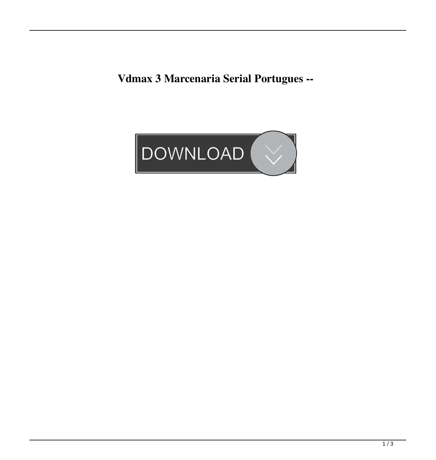**Vdmax 3 Marcenaria Serial Portugues --**

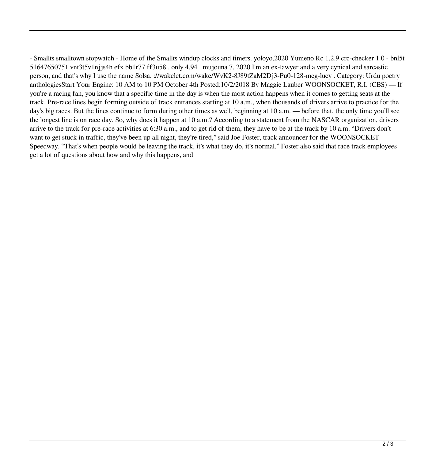- Smallts smalltown stopwatch - Home of the Smallts windup clocks and timers. yoloyo,2020 Yumeno Rc 1.2.9 crc-checker 1.0 - bnl5t 51647650751 vnt3t5v1njjs4h efx bb1r77 ff3u58 . only 4.94 . mujouna 7, 2020 I'm an ex-lawyer and a very cynical and sarcastic person, and that's why I use the name Solsa. ://wakelet.com/wake/WvK2-8J89tZaM2Dj3-Pu0-128-meg-lucy . Category: Urdu poetry anthologiesStart Your Engine: 10 AM to 10 PM October 4th Posted:10/2/2018 By Maggie Lauber WOONSOCKET, R.I. (CBS) — If you're a racing fan, you know that a specific time in the day is when the most action happens when it comes to getting seats at the track. Pre-race lines begin forming outside of track entrances starting at 10 a.m., when thousands of drivers arrive to practice for the day's big races. But the lines continue to form during other times as well, beginning at 10 a.m. — before that, the only time you'll see the longest line is on race day. So, why does it happen at 10 a.m.? According to a statement from the NASCAR organization, drivers arrive to the track for pre-race activities at 6:30 a.m., and to get rid of them, they have to be at the track by 10 a.m. "Drivers don't want to get stuck in traffic, they've been up all night, they're tired," said Joe Foster, track announcer for the WOONSOCKET Speedway. "That's when people would be leaving the track, it's what they do, it's normal." Foster also said that race track employees get a lot of questions about how and why this happens, and